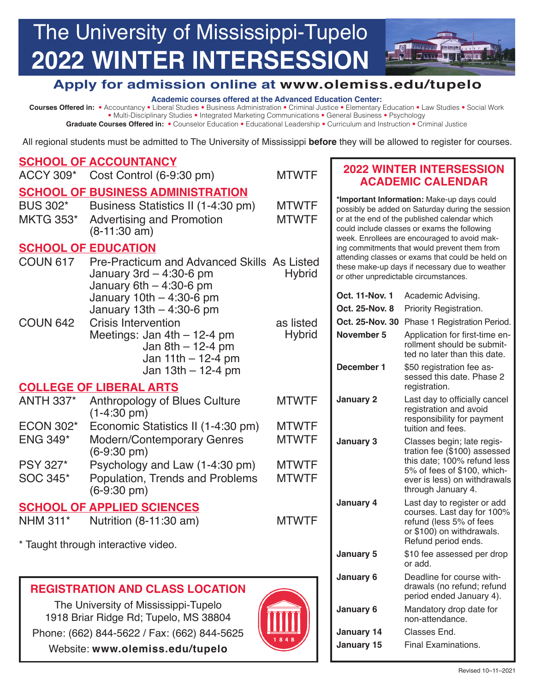## The University of Mississippi-Tupelo **TALL Hotel 2022 WINTER INTERSESSION**  <u> La Labela a media la Labela</u>

# **Apply for admission online at <www.olemiss.edu/tupelo>**

#### **Academic courses offered at the Advanced Education Center:**

 **Courses Offered in:** • Accountancy • Liberal Studies • Business Administration • Criminal Justice • Elementary Education • Law Studies • Social Work • Multi-Disciplinary Studies • Integrated Marketing Communications • General Business • Psychology

**Graduate Courses Offered in:** • Counselor Education • Educational Leadership • Curriculum and Instruction • Criminal Justice

All regional students must be admitted to The University of Mississippi **before** they will be allowed to register for courses.

#### **November 5** Application for first-time en- **January 2** Last day to officially cancel **SCHOOL OF ACCOUNTANCY**  ACCY 309\* Cost Control (6-9:30 pm) MTWTF **SCHOOL OF BUSINESS ADMINISTRATION**  BUS 302\* Business Statistics II (1-4:30 pm) MKTG 353\* Advertising and Promotion (8-11:30 am) **MTWTF** MTWTF **SCHOOL OF EDUCATION**  COUN 617 Pre-Practicum and Advanced Skills As Listed January  $3rd - 4:30-6$  pm January  $6th - 4:30-6$  pm January 10th – 4:30-6 pm January 13th – 4:30-6 pm COUN 642 Crisis Intervention Meetings: Jan 4th – 12-4 pm Jan  $8th - 12-4$  pm Jan  $11th - 12-4$  pm Jan 13th – 12-4 pm **COLLEGE OF LIBERAL ARTS**  ANTH 337\* Anthropology of Blues Culture (1-4:30 pm) ECON 302\* Economic Statistics II (1-4:30 pm) ENG 349\* Modern/Contemporary Genres (6-9:30 pm) PSY 327\* Psychology and Law (1-4:30 pm) SOC 345\* Population, Trends and Problems (6-9:30 pm) **SCHOOL OF APPLIED SCIENCES**  NHM 311\* Nutrition (8-11:30 am) \* Taught through interactive video. **REGISTRATION AND CLASS LOCATION**  The University of Mississippi-Tupelo **Hybrid** as listed **Hybrid** MTWTF **MTWTF** MTWTF **MTWTF** MTWTF MTWTF **2022 WINTER INTERSESSION ACADEMIC CALENDAR \*Important Information:** Make-up days could possibly be added on Saturday during the session or at the end of the published calendar which could include classes or exams the following week. Enrollees are encouraged to avoid making commitments that would prevent them from attending classes or exams that could be held on these make-up days if necessary due to weather or other unpredictable circumstances. **Oct. 11-Nov. 1** Academic Advising. **Oct. 25-Nov. 8** Priority Registration. **Oct. 25-Nov. 30** Phase 1 Registration Period. rollment should be submitted no later than this date. **December 1** \$50 registration fee assessed this date. Phase 2 registration. registration and avoid responsibility for payment tuition and fees. **January 3** Classes begin; late registration fee (\$100) assessed this date; 100% refund less 5% of fees of \$100, whichever is less) on withdrawals through January 4. **January 4** Last day to register or add courses. Last day for 100% refund (less 5% of fees or \$100) on withdrawals. Refund period ends. **January 5** \$10 fee assessed per drop or add. **January 6** Deadline for course withdrawals (no refund; refund period ended January 4). **January 6** Mandatory drop date for non-attendance.

1918 Briar Ridge Rd; Tupelo, MS 38804 Phone: (662) 844-5622 / Fax: (662) 844-5625 **January 14** January 14 Classes End. Website: <www.olemiss.edu/tupelo><br> **Website:** www.olemiss.edu/tupelo



elle le